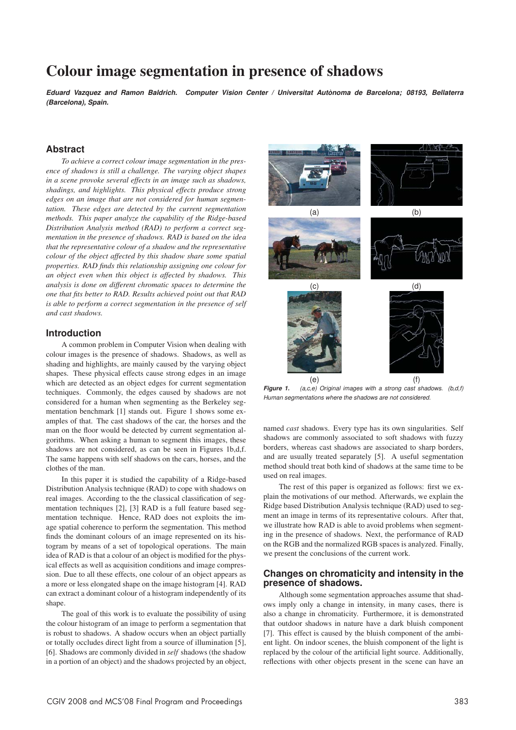# Colour image segmentation in presence of shadows

*Eduard Vazquez and Ramon Baldrich. Computer Vision Center / Universitat Autonoma de Barcelona; 08193, Bellaterra ` (Barcelona), Spain.*

# **Abstract**

*To achieve a correct colour image segmentation in the presence of shadows is still a challenge. The varying object shapes in a scene provoke several effects in an image such as shadows, shadings, and highlights. This physical effects produce strong edges on an image that are not considered for human segmentation. These edges are detected by the current segmentation methods. This paper analyze the capability of the Ridge-based Distribution Analysis method (RAD) to perform a correct segmentation in the presence of shadows. RAD is based on the idea that the representative colour of a shadow and the representative colour of the object affected by this shadow share some spatial properties. RAD finds this relationship assigning one colour for an object even when this object is affected by shadows. This analysis is done on different chromatic spaces to determine the one that fits better to RAD. Results achieved point out that RAD is able to perform a correct segmentation in the presence of self and cast shadows.*

#### **Introduction**

A common problem in Computer Vision when dealing with colour images is the presence of shadows. Shadows, as well as shading and highlights, are mainly caused by the varying object shapes. These physical effects cause strong edges in an image which are detected as an object edges for current segmentation techniques. Commonly, the edges caused by shadows are not considered for a human when segmenting as the Berkeley segmentation benchmark [1] stands out. Figure 1 shows some examples of that. The cast shadows of the car, the horses and the man on the floor would be detected by current segmentation algorithms. When asking a human to segment this images, these shadows are not considered, as can be seen in Figures 1b,d,f. The same happens with self shadows on the cars, horses, and the clothes of the man.

In this paper it is studied the capability of a Ridge-based Distribution Analysis technique (RAD) to cope with shadows on real images. According to the the classical classification of segmentation techniques [2], [3] RAD is a full feature based segmentation technique. Hence, RAD does not exploits the image spatial coherence to perform the segmentation. This method finds the dominant colours of an image represented on its histogram by means of a set of topological operations. The main idea of RAD is that a colour of an object is modified for the physical effects as well as acquisition conditions and image compression. Due to all these effects, one colour of an object appears as a more or less elongated shape on the image histogram [4]. RAD can extract a dominant colour of a histogram independently of its shape.

The goal of this work is to evaluate the possibility of using the colour histogram of an image to perform a segmentation that is robust to shadows. A shadow occurs when an object partially or totally occludes direct light from a source of illumination [5], [6]. Shadows are commonly divided in *self* shadows (the shadow in a portion of an object) and the shadows projected by an object,



*Figure 1. (a,c,e) Original images with a strong cast shadows. (b,d,f) Human segmentations where the shadows are not considered.*

named *cast* shadows. Every type has its own singularities. Self shadows are commonly associated to soft shadows with fuzzy borders, whereas cast shadows are associated to sharp borders, and are usually treated separately [5]. A useful segmentation method should treat both kind of shadows at the same time to be used on real images.

The rest of this paper is organized as follows: first we explain the motivations of our method. Afterwards, we explain the Ridge based Distribution Analysis technique (RAD) used to segment an image in terms of its representative colours. After that, we illustrate how RAD is able to avoid problems when segmenting in the presence of shadows. Next, the performance of RAD on the RGB and the normalized RGB spaces is analyzed. Finally, we present the conclusions of the current work.

## **Changes on chromaticity and intensity in the presence of shadows.**

Although some segmentation approaches assume that shadows imply only a change in intensity, in many cases, there is also a change in chromaticity. Furthermore, it is demonstrated that outdoor shadows in nature have a dark bluish component [7]. This effect is caused by the bluish component of the ambient light. On indoor scenes, the bluish component of the light is replaced by the colour of the artificial light source. Additionally, reflections with other objects present in the scene can have an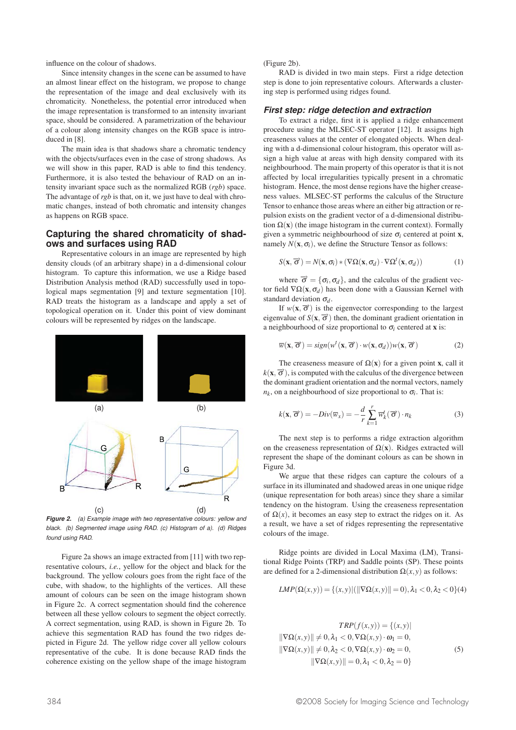influence on the colour of shadows.

Since intensity changes in the scene can be assumed to have an almost linear effect on the histogram, we propose to change the representation of the image and deal exclusively with its chromaticity. Nonetheless, the potential error introduced when the image representation is transformed to an intensity invariant space, should be considered. A parametrization of the behaviour of a colour along intensity changes on the RGB space is introduced in [8].

The main idea is that shadows share a chromatic tendency with the objects/surfaces even in the case of strong shadows. As we will show in this paper, RAD is able to find this tendency. Furthermore, it is also tested the behaviour of RAD on an intensity invariant space such as the normalized RGB (*rgb*) space. The advantage of *rgb* is that, on it, we just have to deal with chromatic changes, instead of both chromatic and intensity changes as happens on RGB space.

## **Capturing the shared chromaticity of shadows and surfaces using RAD**

Representative colours in an image are represented by high density clouds (of an arbitrary shape) in a d-dimensional colour histogram. To capture this information, we use a Ridge based Distribution Analysis method (RAD) successfully used in topological maps segmentation [9] and texture segmentation [10]. RAD treats the histogram as a landscape and apply a set of topological operation on it. Under this point of view dominant colours will be represented by ridges on the landscape.



*Figure 2. (a) Example image with two representative colours: yellow and black. (b) Segmented image using RAD. (c) Histogram of a). (d) Ridges found using RAD.*

Figure 2a shows an image extracted from [11] with two representative colours, *i.e.*, yellow for the object and black for the background. The yellow colours goes from the right face of the cube, with shadow, to the highlights of the vertices. All these amount of colours can be seen on the image histogram shown in Figure 2c. A correct segmentation should find the coherence between all these yellow colours to segment the object correctly. A correct segmentation, using RAD, is shown in Figure 2b. To achieve this segmentation RAD has found the two ridges depicted in Figure 2d. The yellow ridge cover all yellow colours representative of the cube. It is done because RAD finds the coherence existing on the yellow shape of the image histogram

(Figure 2b).

RAD is divided in two main steps. First a ridge detection step is done to join representative colours. Afterwards a clustering step is performed using ridges found.

#### *First step: ridge detection and extraction*

To extract a ridge, first it is applied a ridge enhancement procedure using the MLSEC-ST operator [12]. It assigns high creaseness values at the center of elongated objects. When dealing with a d-dimensional colour histogram, this operator will assign a high value at areas with high density compared with its neighbourhood. The main property of this operator is that it is not affected by local irregularities typically present in a chromatic histogram. Hence, the most dense regions have the higher creaseness values. MLSEC-ST performs the calculus of the Structure Tensor to enhance those areas where an either big attraction or repulsion exists on the gradient vector of a d-dimensional distribution  $\Omega(x)$  (the image histogram in the current context). Formally given a symmetric neighbourhood of size  $\sigma_i$  centered at point **x**, namely  $N(\mathbf{x}, \sigma_i)$ , we define the Structure Tensor as follows:

$$
S(\mathbf{x}, \overrightarrow{\boldsymbol{\sigma}}) = N(\mathbf{x}, \sigma_i) * (\nabla \Omega(\mathbf{x}, \sigma_d) \cdot \nabla \Omega^t(\mathbf{x}, \sigma_d))
$$
(1)

where  $\vec{\sigma} = {\sigma_i, \sigma_d}$ , and the calculus of the gradient vector field  $\nabla \Omega(\mathbf{x}, \sigma_d)$  has been done with a Gaussian Kernel with standard deviation  $\sigma_d$ .

If  $w(x, \vec{\sigma})$  is the eigenvector corresponding to the largest eigenvalue of  $S(x, \vec{\sigma})$  then, the dominant gradient orientation in a neighbourhood of size proportional to  $\sigma_i$  centered at **x** is:

$$
\overline{w}(\mathbf{x}, \overrightarrow{\boldsymbol{\sigma}}) = sign(w^t(\mathbf{x}, \overrightarrow{\boldsymbol{\sigma}}) \cdot w(\mathbf{x}, \sigma_d))w(\mathbf{x}, \overrightarrow{\boldsymbol{\sigma}})
$$
(2)

The creaseness measure of  $\Omega(x)$  for a given point x, call it  $k(x,\vec{\sigma})$ , is computed with the calculus of the divergence between the dominant gradient orientation and the normal vectors, namely  $n_k$ , on a neighbourhood of size proportional to  $\sigma_i$ . That is:

$$
k(\mathbf{x}, \overrightarrow{\sigma}) = -Div(\overline{w}_x) = -\frac{d}{r} \sum_{k=1}^{r} \overline{w}_k^t(\overrightarrow{\sigma}) \cdot n_k
$$
 (3)

The next step is to performs a ridge extraction algorithm on the creaseness representation of  $\Omega(x)$ . Ridges extracted will represent the shape of the dominant colours as can be shown in Figure 3d.

We argue that these ridges can capture the colours of a surface in its illuminated and shadowed areas in one unique ridge (unique representation for both areas) since they share a similar tendency on the histogram. Using the creaseness representation of  $\Omega(x)$ , it becomes an easy step to extract the ridges on it. As a result, we have a set of ridges representing the representative colours of the image.

Ridge points are divided in Local Maxima (LM), Transitional Ridge Points (TRP) and Saddle points (SP). These points are defined for a 2-dimensional distribution  $\Omega(x, y)$  as follows:

$$
LMP(\Omega(x, y)) = \{(x, y) | (\|\nabla \Omega(x, y)\| = 0), \lambda_1 < 0, \lambda_2 < 0\} \tag{4}
$$

$$
TRP(f(x,y)) = \{(x,y) | \quad \|\nabla\Omega(x,y)\| \neq 0, \lambda_1 < 0, \nabla\Omega(x,y) \cdot \omega_1 = 0, \quad \|\nabla\Omega(x,y)\| \neq 0, \lambda_2 < 0, \nabla\Omega(x,y) \cdot \omega_2 = 0, \quad \|\nabla\Omega(x,y)\| = 0, \lambda_1 < 0, \lambda_2 = 0 \}
$$
\n
$$
(5)
$$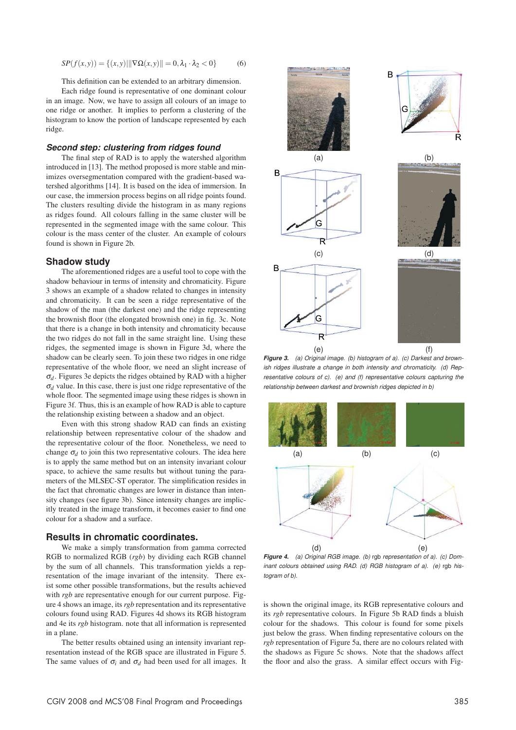$$
SP(f(x, y)) = \{(x, y) | ||\nabla \Omega(x, y)|| = 0, \lambda_1 \cdot \lambda_2 < 0\} \tag{6}
$$

This definition can be extended to an arbitrary dimension.

Each ridge found is representative of one dominant colour in an image. Now, we have to assign all colours of an image to one ridge or another. It implies to perform a clustering of the histogram to know the portion of landscape represented by each ridge.

## *Second step: clustering from ridges found*

The final step of RAD is to apply the watershed algorithm introduced in [13]. The method proposed is more stable and minimizes oversegmentation compared with the gradient-based watershed algorithms [14]. It is based on the idea of immersion. In our case, the immersion process begins on all ridge points found. The clusters resulting divide the histogram in as many regions as ridges found. All colours falling in the same cluster will be represented in the segmented image with the same colour. This colour is the mass center of the cluster. An example of colours found is shown in Figure 2b.

#### **Shadow study**

The aforementioned ridges are a useful tool to cope with the shadow behaviour in terms of intensity and chromaticity. Figure 3 shows an example of a shadow related to changes in intensity and chromaticity. It can be seen a ridge representative of the shadow of the man (the darkest one) and the ridge representing the brownish floor (the elongated brownish one) in fig. 3c. Note that there is a change in both intensity and chromaticity because the two ridges do not fall in the same straight line. Using these ridges, the segmented image is shown in Figure 3d, where the shadow can be clearly seen. To join these two ridges in one ridge representative of the whole floor, we need an slight increase of <sup>σ</sup>*d*. Figures 3e depicts the ridges obtained by RAD with a higher <sup>σ</sup>*<sup>d</sup>* value. In this case, there is just one ridge representative of the whole floor. The segmented image using these ridges is shown in Figure 3f. Thus, this is an example of how RAD is able to capture the relationship existing between a shadow and an object.

Even with this strong shadow RAD can finds an existing relationship between representative colour of the shadow and the representative colour of the floor. Nonetheless, we need to change  $\sigma_d$  to join this two representative colours. The idea here is to apply the same method but on an intensity invariant colour space, to achieve the same results but without tuning the parameters of the MLSEC-ST operator. The simplification resides in the fact that chromatic changes are lower in distance than intensity changes (see figure 3b). Since intensity changes are implicitly treated in the image transform, it becomes easier to find one colour for a shadow and a surface.

#### **Results in chromatic coordinates.**

We make a simply transformation from gamma corrected RGB to normalized RGB (*rgb*) by dividing each RGB channel by the sum of all channels. This transformation yields a representation of the image invariant of the intensity. There exist some other possible transformations, but the results achieved with *rgb* are representative enough for our current purpose. Figure 4 shows an image, its *rgb* representation and its representative colours found using RAD. Figures 4d shows its RGB histogram and 4e its *rgb* histogram. note that all information is represented in a plane.

The better results obtained using an intensity invariant representation instead of the RGB space are illustrated in Figure 5. The same values of  $\sigma_i$  and  $\sigma_d$  had been used for all images. It



*Figure 3. (a) Original image. (b) histogram of a). (c) Darkest and brownish ridges illustrate a change in both intensity and chromaticity. (d) Representative colours of c). (e) and (f) representative colours capturing the relationship between darkest and brownish ridges depicted in b)*



*Figure 4. (a) Original RGB image. (b)* rgb *representation of a). (c) Dominant colours obtained using RAD. (d) RGB histogram of a). (e)* rgb *histogram of b).*

is shown the original image, its RGB representative colours and its *rgb* representative colours. In Figure 5b RAD finds a bluish colour for the shadows. This colour is found for some pixels just below the grass. When finding representative colours on the *rgb* representation of Figure 5a, there are no colours related with the shadows as Figure 5c shows. Note that the shadows affect the floor and also the grass. A similar effect occurs with Fig-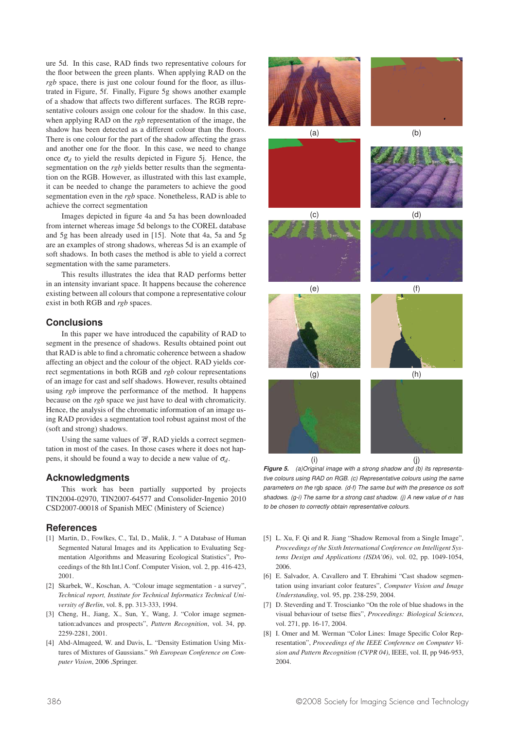ure 5d. In this case, RAD finds two representative colours for the floor between the green plants. When applying RAD on the *rgb* space, there is just one colour found for the floor, as illustrated in Figure, 5f. Finally, Figure 5g shows another example of a shadow that affects two different surfaces. The RGB representative colours assign one colour for the shadow. In this case, when applying RAD on the *rgb* representation of the image, the shadow has been detected as a different colour than the floors. There is one colour for the part of the shadow affecting the grass and another one for the floor. In this case, we need to change once  $\sigma_d$  to yield the results depicted in Figure 5*i*. Hence, the segmentation on the *rgb* yields better results than the segmentation on the RGB. However, as illustrated with this last example, it can be needed to change the parameters to achieve the good segmentation even in the *rgb* space. Nonetheless, RAD is able to achieve the correct segmentation

Images depicted in figure 4a and 5a has been downloaded from internet whereas image 5d belongs to the COREL database and 5g has been already used in [15]. Note that 4a, 5a and 5g are an examples of strong shadows, whereas 5d is an example of soft shadows. In both cases the method is able to yield a correct segmentation with the same parameters.

This results illustrates the idea that RAD performs better in an intensity invariant space. It happens because the coherence existing between all colours that compone a representative colour exist in both RGB and *rgb* spaces.

# **Conclusions**

In this paper we have introduced the capability of RAD to segment in the presence of shadows. Results obtained point out that RAD is able to find a chromatic coherence between a shadow affecting an object and the colour of the object. RAD yields correct segmentations in both RGB and *rgb* colour representations of an image for cast and self shadows. However, results obtained using *rgb* improve the performance of the method. It happens because on the *rgb* space we just have to deal with chromaticity. Hence, the analysis of the chromatic information of an image using RAD provides a segmentation tool robust against most of the (soft and strong) shadows.

Using the same values of  $\vec{\sigma}$ , RAD yields a correct segmentation in most of the cases. In those cases where it does not happens, it should be found a way to decide a new value of  $\sigma_d$ .

# **Acknowledgments**

This work has been partially supported by projects TIN2004-02970, TIN2007-64577 and Consolider-Ingenio 2010 CSD2007-00018 of Spanish MEC (Ministery of Science)

# **References**

- [1] Martin, D., Fowlkes, C., Tal, D., Malik, J. " A Database of Human Segmented Natural Images and its Application to Evaluating Segmentation Algorithms and Measuring Ecological Statistics", Proceedings of the 8th Int.l Conf. Computer Vision, vol. 2, pp. 416-423, 2001.
- [2] Skarbek, W., Koschan, A. "Colour image segmentation a survey", *Technical report, Institute for Technical Informatics Technical University of Berlin*, vol. 8, pp. 313-333, 1994.
- [3] Cheng, H., Jiang, X., Sun, Y., Wang, J. "Color image segmentation:advances and prospects", *Pattern Recognition*, vol. 34, pp. 2259-2281, 2001.
- [4] Abd-Almageed, W. and Davis, L. "Density Estimation Using Mixtures of Mixtures of Gaussians." *9th European Conference on Computer Vision*, 2006 ,Springer.



*Figure 5. (a)Original image with a strong shadow and (b) its representative colours using RAD on RGB. (c) Representative colours using the same parameters on the* rgb *space. (d-f) The same but with the presence os soft shadows. (g-i) The same for a strong cast shadow. (j) A new value of* <sup>σ</sup> *has to be chosen to correctly obtain representative colours.*

- [5] L. Xu, F. Qi and R. Jiang "Shadow Removal from a Single Image", *Proceedings of the Sixth International Conference on Intelligent Systems Design and Applications (ISDA'06)*, vol. 02, pp. 1049-1054, 2006.
- [6] E. Salvador, A. Cavallero and T. Ebrahimi "Cast shadow segmentation using invariant color features", *Computer Vision and Image Understanding*, vol. 95, pp. 238-259, 2004.
- [7] D. Steverding and T. Troscianko "On the role of blue shadows in the visual behaviour of tsetse flies", *Proceedings: Biological Sciences*, vol. 271, pp. 16-17, 2004.
- [8] I. Omer and M. Werman "Color Lines: Image Specific Color Representation", *Proceedings of the IEEE Conference on Computer Vision and Pattern Recognition (CVPR 04)*, IEEE, vol. II, pp 946-953, 2004.